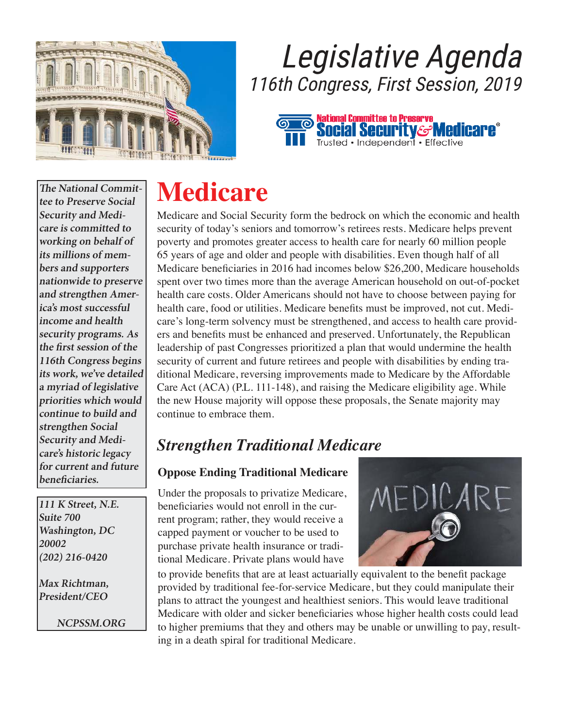

## Legislative Agenda 116th Congress, First Session, 2019



**The National Committee to Preserve Social Security and Medicare is committed to working on behalf of its millions of members and supporters nationwide to preserve and strengthen America's most successful income and health security programs. As the first session of the 116th Congress begins its work, we've detailed a myriad of legislative priorities which would continue to build and strengthen Social Security and Medicare's historic legacy for current and future beneficiaries.** 

**111 K Street, N.E. Suite 700 Washington, DC 20002 (202) 216-0420** 

**Max Richtman, President/CEO** 

**NCPSSM.ORG** 

### **Medicare**

Medicare and Social Security form the bedrock on which the economic and health security of today's seniors and tomorrow's retirees rests. Medicare helps prevent poverty and promotes greater access to health care for nearly 60 million people 65 years of age and older and people with disabilities. Even though half of all Medicare beneficiaries in 2016 had incomes below \$26,200, Medicare households spent over two times more than the average American household on out-of-pocket health care costs. Older Americans should not have to choose between paying for health care, food or utilities. Medicare benefits must be improved, not cut. Medicare's long-term solvency must be strengthened, and access to health care providers and benefits must be enhanced and preserved. Unfortunately, the Republican leadership of past Congresses prioritized a plan that would undermine the health security of current and future retirees and people with disabilities by ending traditional Medicare, reversing improvements made to Medicare by the Affordable Care Act (ACA) (P.L. 111-148), and raising the Medicare eligibility age. While the new House majority will oppose these proposals, the Senate majority may continue to embrace them.

### *Strengthen Traditional Medicare*

#### **Oppose Ending Traditional Medicare**

Under the proposals to privatize Medicare, beneficiaries would not enroll in the current program; rather, they would receive a capped payment or voucher to be used to purchase private health insurance or traditional Medicare. Private plans would have



to provide benefits that are at least actuarially equivalent to the benefit package provided by traditional fee-for-service Medicare, but they could manipulate their plans to attract the youngest and healthiest seniors. This would leave traditional Medicare with older and sicker beneficiaries whose higher health costs could lead to higher premiums that they and others may be unable or unwilling to pay, resulting in a death spiral for traditional Medicare.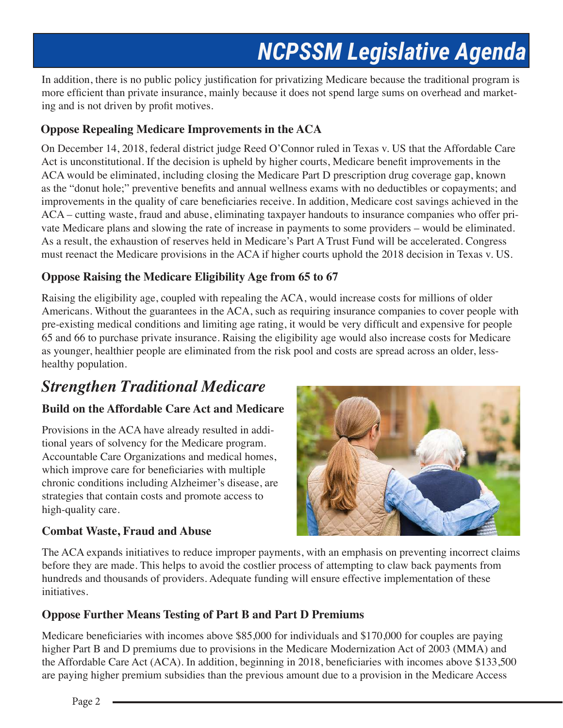In addition, there is no public policy justification for privatizing Medicare because the traditional program is more efficient than private insurance, mainly because it does not spend large sums on overhead and marketing and is not driven by profit motives.

#### **Oppose Repealing Medicare Improvements in the ACA**

On December 14, 2018, federal district judge Reed O'Connor ruled in Texas v. US that the Affordable Care Act is unconstitutional. If the decision is upheld by higher courts, Medicare benefit improvements in the ACA would be eliminated, including closing the Medicare Part D prescription drug coverage gap, known as the "donut hole;" preventive benefits and annual wellness exams with no deductibles or copayments; and improvements in the quality of care beneficiaries receive. In addition, Medicare cost savings achieved in the ACA – cutting waste, fraud and abuse, eliminating taxpayer handouts to insurance companies who offer private Medicare plans and slowing the rate of increase in payments to some providers – would be eliminated. As a result, the exhaustion of reserves held in Medicare's Part A Trust Fund will be accelerated. Congress must reenact the Medicare provisions in the ACA if higher courts uphold the 2018 decision in Texas v. US.

#### **Oppose Raising the Medicare Eligibility Age from 65 to 67**

Raising the eligibility age, coupled with repealing the ACA, would increase costs for millions of older Americans. Without the guarantees in the ACA, such as requiring insurance companies to cover people with pre-existing medical conditions and limiting age rating, it would be very difficult and expensive for people 65 and 66 to purchase private insurance. Raising the eligibility age would also increase costs for Medicare as younger, healthier people are eliminated from the risk pool and costs are spread across an older, lesshealthy population.

### *Strengthen Traditional Medicare*

#### **Build on the Affordable Care Act and Medicare**

Provisions in the ACA have already resulted in additional years of solvency for the Medicare program. Accountable Care Organizations and medical homes, which improve care for beneficiaries with multiple chronic conditions including Alzheimer's disease, are strategies that contain costs and promote access to high-quality care.

#### **Combat Waste, Fraud and Abuse**



The ACA expands initiatives to reduce improper payments, with an emphasis on preventing incorrect claims before they are made. This helps to avoid the costlier process of attempting to claw back payments from hundreds and thousands of providers. Adequate funding will ensure effective implementation of these initiatives.

#### **Oppose Further Means Testing of Part B and Part D Premiums**

Medicare beneficiaries with incomes above \$85,000 for individuals and \$170,000 for couples are paying higher Part B and D premiums due to provisions in the Medicare Modernization Act of 2003 (MMA) and the Affordable Care Act (ACA). In addition, beginning in 2018, beneficiaries with incomes above \$133,500 are paying higher premium subsidies than the previous amount due to a provision in the Medicare Access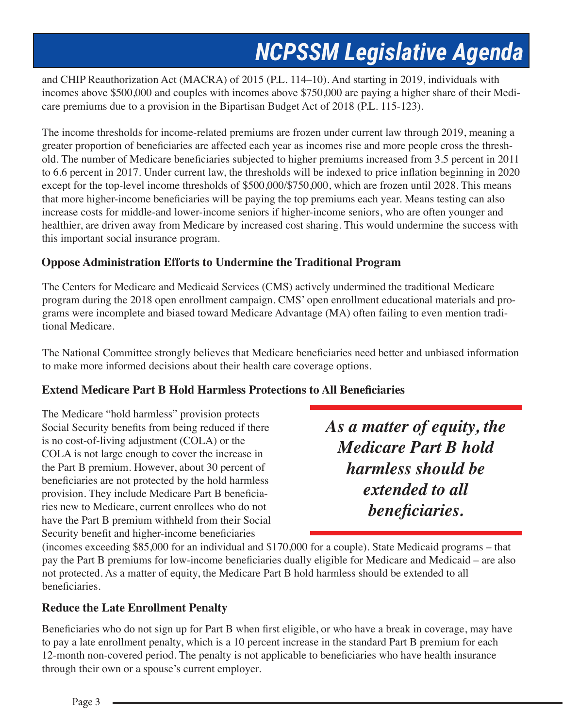and CHIP Reauthorization Act (MACRA) of 2015 (P.L. 114–10). And starting in 2019, individuals with incomes above \$500,000 and couples with incomes above \$750,000 are paying a higher share of their Medicare premiums due to a provision in the Bipartisan Budget Act of 2018 (P.L. 115-123).

The income thresholds for income-related premiums are frozen under current law through 2019, meaning a greater proportion of beneficiaries are affected each year as incomes rise and more people cross the threshold. The number of Medicare beneficiaries subjected to higher premiums increased from 3.5 percent in 2011 to 6.6 percent in 2017. Under current law, the thresholds will be indexed to price inflation beginning in 2020 except for the top-level income thresholds of \$500,000/\$750,000, which are frozen until 2028. This means that more higher-income beneficiaries will be paying the top premiums each year. Means testing can also increase costs for middle-and lower-income seniors if higher-income seniors, who are often younger and healthier, are driven away from Medicare by increased cost sharing. This would undermine the success with this important social insurance program.

#### **Oppose Administration Efforts to Undermine the Traditional Program**

The Centers for Medicare and Medicaid Services (CMS) actively undermined the traditional Medicare program during the 2018 open enrollment campaign. CMS' open enrollment educational materials and programs were incomplete and biased toward Medicare Advantage (MA) often failing to even mention traditional Medicare.

The National Committee strongly believes that Medicare beneficiaries need better and unbiased information to make more informed decisions about their health care coverage options.

#### **Extend Medicare Part B Hold Harmless Protections to All Beneficiaries**

The Medicare "hold harmless" provision protects Social Security benefits from being reduced if there is no cost-of-living adjustment (COLA) or the COLA is not large enough to cover the increase in the Part B premium. However, about 30 percent of beneficiaries are not protected by the hold harmless provision. They include Medicare Part B beneficiaries new to Medicare, current enrollees who do not have the Part B premium withheld from their Social Security benefit and higher-income beneficiaries

*As a matter of equity, the Medicare Part B hold harmless should be extended to all beneficiaries.*

(incomes exceeding \$85,000 for an individual and \$170,000 for a couple). State Medicaid programs – that pay the Part B premiums for low-income beneficiaries dually eligible for Medicare and Medicaid – are also not protected. As a matter of equity, the Medicare Part B hold harmless should be extended to all beneficiaries.

#### **Reduce the Late Enrollment Penalty**

Beneficiaries who do not sign up for Part B when first eligible, or who have a break in coverage, may have to pay a late enrollment penalty, which is a 10 percent increase in the standard Part B premium for each 12-month non-covered period. The penalty is not applicable to beneficiaries who have health insurance through their own or a spouse's current employer.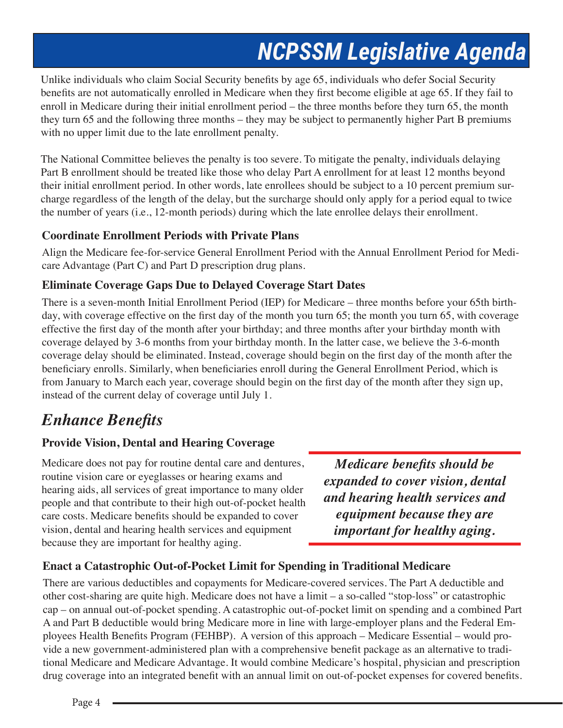Unlike individuals who claim Social Security benefits by age 65, individuals who defer Social Security benefits are not automatically enrolled in Medicare when they first become eligible at age 65. If they fail to enroll in Medicare during their initial enrollment period – the three months before they turn 65, the month they turn 65 and the following three months – they may be subject to permanently higher Part B premiums with no upper limit due to the late enrollment penalty.

The National Committee believes the penalty is too severe. To mitigate the penalty, individuals delaying Part B enrollment should be treated like those who delay Part A enrollment for at least 12 months beyond their initial enrollment period. In other words, late enrollees should be subject to a 10 percent premium surcharge regardless of the length of the delay, but the surcharge should only apply for a period equal to twice the number of years (i.e., 12-month periods) during which the late enrollee delays their enrollment.

#### **Coordinate Enrollment Periods with Private Plans**

Align the Medicare fee-for-service General Enrollment Period with the Annual Enrollment Period for Medicare Advantage (Part C) and Part D prescription drug plans.

#### **Eliminate Coverage Gaps Due to Delayed Coverage Start Dates**

There is a seven-month Initial Enrollment Period (IEP) for Medicare – three months before your 65th birthday, with coverage effective on the first day of the month you turn 65; the month you turn 65, with coverage effective the first day of the month after your birthday; and three months after your birthday month with coverage delayed by 3-6 months from your birthday month. In the latter case, we believe the 3-6-month coverage delay should be eliminated. Instead, coverage should begin on the first day of the month after the beneficiary enrolls. Similarly, when beneficiaries enroll during the General Enrollment Period, which is from January to March each year, coverage should begin on the first day of the month after they sign up, instead of the current delay of coverage until July 1.

### *Enhance Benefits*

#### **Provide Vision, Dental and Hearing Coverage**

Medicare does not pay for routine dental care and dentures, routine vision care or eyeglasses or hearing exams and hearing aids, all services of great importance to many older people and that contribute to their high out-of-pocket health care costs. Medicare benefits should be expanded to cover vision, dental and hearing health services and equipment because they are important for healthy aging.

*Medicare benefits should be expanded to cover vision, dental and hearing health services and equipment because they are important for healthy aging.* 

#### **Enact a Catastrophic Out-of-Pocket Limit for Spending in Traditional Medicare**

There are various deductibles and copayments for Medicare-covered services. The Part A deductible and other cost-sharing are quite high. Medicare does not have a limit – a so-called "stop-loss" or catastrophic cap – on annual out-of-pocket spending. A catastrophic out-of-pocket limit on spending and a combined Part A and Part B deductible would bring Medicare more in line with large-employer plans and the Federal Employees Health Benefits Program (FEHBP). A version of this approach – Medicare Essential – would provide a new government-administered plan with a comprehensive benefit package as an alternative to traditional Medicare and Medicare Advantage. It would combine Medicare's hospital, physician and prescription drug coverage into an integrated benefit with an annual limit on out-of-pocket expenses for covered benefits.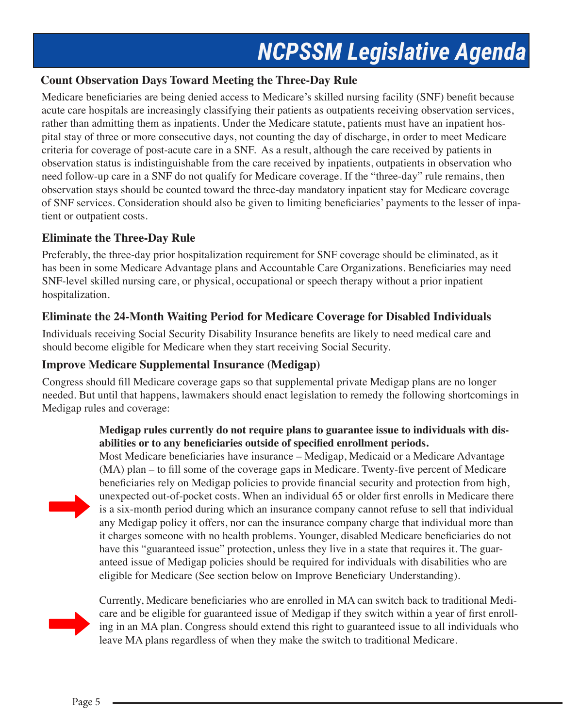#### **Count Observation Days Toward Meeting the Three-Day Rule**

Medicare beneficiaries are being denied access to Medicare's skilled nursing facility (SNF) benefit because acute care hospitals are increasingly classifying their patients as outpatients receiving observation services, rather than admitting them as inpatients. Under the Medicare statute, patients must have an inpatient hospital stay of three or more consecutive days, not counting the day of discharge, in order to meet Medicare criteria for coverage of post-acute care in a SNF. As a result, although the care received by patients in observation status is indistinguishable from the care received by inpatients, outpatients in observation who need follow-up care in a SNF do not qualify for Medicare coverage. If the "three-day" rule remains, then observation stays should be counted toward the three-day mandatory inpatient stay for Medicare coverage of SNF services. Consideration should also be given to limiting beneficiaries' payments to the lesser of inpatient or outpatient costs.

#### **Eliminate the Three-Day Rule**

Preferably, the three-day prior hospitalization requirement for SNF coverage should be eliminated, as it has been in some Medicare Advantage plans and Accountable Care Organizations. Beneficiaries may need SNF-level skilled nursing care, or physical, occupational or speech therapy without a prior inpatient hospitalization.

#### **Eliminate the 24-Month Waiting Period for Medicare Coverage for Disabled Individuals**

Individuals receiving Social Security Disability Insurance benefits are likely to need medical care and should become eligible for Medicare when they start receiving Social Security.

#### **Improve Medicare Supplemental Insurance (Medigap)**

Congress should fill Medicare coverage gaps so that supplemental private Medigap plans are no longer needed. But until that happens, lawmakers should enact legislation to remedy the following shortcomings in Medigap rules and coverage:

#### **Medigap rules currently do not require plans to guarantee issue to individuals with disabilities or to any beneficiaries outside of specified enrollment periods.**

Most Medicare beneficiaries have insurance – Medigap, Medicaid or a Medicare Advantage (MA) plan – to fill some of the coverage gaps in Medicare. Twenty-five percent of Medicare beneficiaries rely on Medigap policies to provide financial security and protection from high, unexpected out-of-pocket costs. When an individual 65 or older first enrolls in Medicare there is a six-month period during which an insurance company cannot refuse to sell that individual any Medigap policy it offers, nor can the insurance company charge that individual more than it charges someone with no health problems. Younger, disabled Medicare beneficiaries do not have this "guaranteed issue" protection, unless they live in a state that requires it. The guaranteed issue of Medigap policies should be required for individuals with disabilities who are eligible for Medicare (See section below on Improve Beneficiary Understanding).



Currently, Medicare beneficiaries who are enrolled in MA can switch back to traditional Medicare and be eligible for guaranteed issue of Medigap if they switch within a year of first enrolling in an MA plan. Congress should extend this right to guaranteed issue to all individuals who leave MA plans regardless of when they make the switch to traditional Medicare.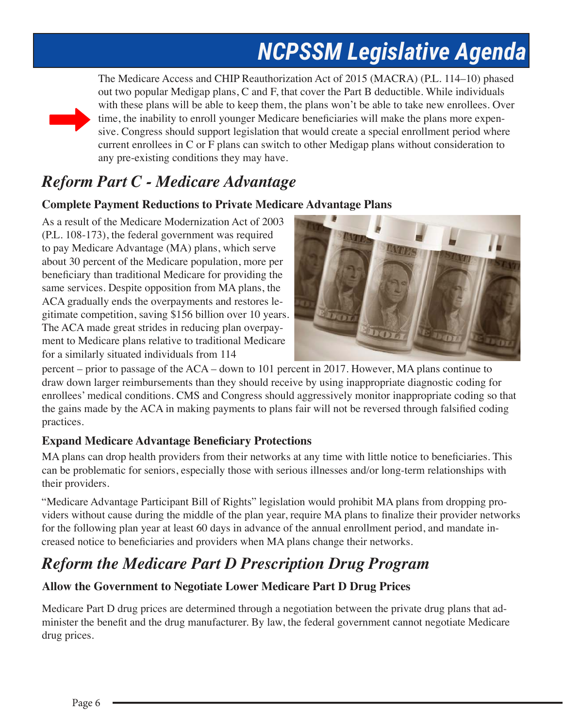

The Medicare Access and CHIP Reauthorization Act of 2015 (MACRA) (P.L. 114–10) phased out two popular Medigap plans, C and F, that cover the Part B deductible. While individuals with these plans will be able to keep them, the plans won't be able to take new enrollees. Over time, the inability to enroll younger Medicare beneficiaries will make the plans more expensive. Congress should support legislation that would create a special enrollment period where current enrollees in C or F plans can switch to other Medigap plans without consideration to any pre-existing conditions they may have.

### *Reform Part C - Medicare Advantage*

#### **Complete Payment Reductions to Private Medicare Advantage Plans**

As a result of the Medicare Modernization Act of 2003 (P.L. 108-173), the federal government was required to pay Medicare Advantage (MA) plans, which serve about 30 percent of the Medicare population, more per beneficiary than traditional Medicare for providing the same services. Despite opposition from MA plans, the ACA gradually ends the overpayments and restores legitimate competition, saving \$156 billion over 10 years. The ACA made great strides in reducing plan overpayment to Medicare plans relative to traditional Medicare for a similarly situated individuals from 114



percent – prior to passage of the ACA – down to 101 percent in 2017. However, MA plans continue to draw down larger reimbursements than they should receive by using inappropriate diagnostic coding for enrollees' medical conditions. CMS and Congress should aggressively monitor inappropriate coding so that the gains made by the ACA in making payments to plans fair will not be reversed through falsified coding practices.

#### **Expand Medicare Advantage Beneficiary Protections**

MA plans can drop health providers from their networks at any time with little notice to beneficiaries. This can be problematic for seniors, especially those with serious illnesses and/or long-term relationships with their providers.

"Medicare Advantage Participant Bill of Rights" legislation would prohibit MA plans from dropping providers without cause during the middle of the plan year, require MA plans to finalize their provider networks for the following plan year at least 60 days in advance of the annual enrollment period, and mandate increased notice to beneficiaries and providers when MA plans change their networks.

### *Reform the Medicare Part D Prescription Drug Program*

#### **Allow the Government to Negotiate Lower Medicare Part D Drug Prices**

Medicare Part D drug prices are determined through a negotiation between the private drug plans that administer the benefit and the drug manufacturer. By law, the federal government cannot negotiate Medicare drug prices.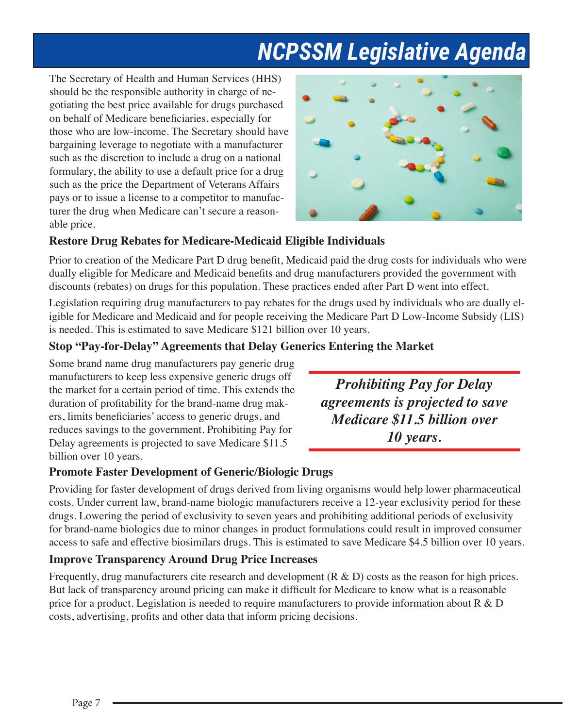The Secretary of Health and Human Services (HHS) should be the responsible authority in charge of negotiating the best price available for drugs purchased on behalf of Medicare beneficiaries, especially for those who are low-income. The Secretary should have bargaining leverage to negotiate with a manufacturer such as the discretion to include a drug on a national formulary, the ability to use a default price for a drug such as the price the Department of Veterans Affairs pays or to issue a license to a competitor to manufacturer the drug when Medicare can't secure a reasonable price.



#### **Restore Drug Rebates for Medicare-Medicaid Eligible Individuals**

Prior to creation of the Medicare Part D drug benefit, Medicaid paid the drug costs for individuals who were dually eligible for Medicare and Medicaid benefits and drug manufacturers provided the government with discounts (rebates) on drugs for this population. These practices ended after Part D went into effect.

Legislation requiring drug manufacturers to pay rebates for the drugs used by individuals who are dually eligible for Medicare and Medicaid and for people receiving the Medicare Part D Low-Income Subsidy (LIS) is needed. This is estimated to save Medicare \$121 billion over 10 years.

#### **Stop "Pay-for-Delay" Agreements that Delay Generics Entering the Market**

Some brand name drug manufacturers pay generic drug manufacturers to keep less expensive generic drugs off the market for a certain period of time. This extends the duration of profitability for the brand-name drug makers, limits beneficiaries' access to generic drugs, and reduces savings to the government. Prohibiting Pay for Delay agreements is projected to save Medicare \$11.5 billion over 10 years.

#### **Promote Faster Development of Generic/Biologic Drugs**

Providing for faster development of drugs derived from living organisms would help lower pharmaceutical costs. Under current law, brand-name biologic manufacturers receive a 12-year exclusivity period for these drugs. Lowering the period of exclusivity to seven years and prohibiting additional periods of exclusivity for brand-name biologics due to minor changes in product formulations could result in improved consumer access to safe and effective biosimilars drugs. This is estimated to save Medicare \$4.5 billion over 10 years.

#### **Improve Transparency Around Drug Price Increases**

Frequently, drug manufacturers cite research and development  $(R & D)$  costs as the reason for high prices. But lack of transparency around pricing can make it difficult for Medicare to know what is a reasonable price for a product. Legislation is needed to require manufacturers to provide information about  $R \& D$ costs, advertising, profits and other data that inform pricing decisions.

*Prohibiting Pay for Delay agreements is projected to save Medicare \$11.5 billion over 10 years.*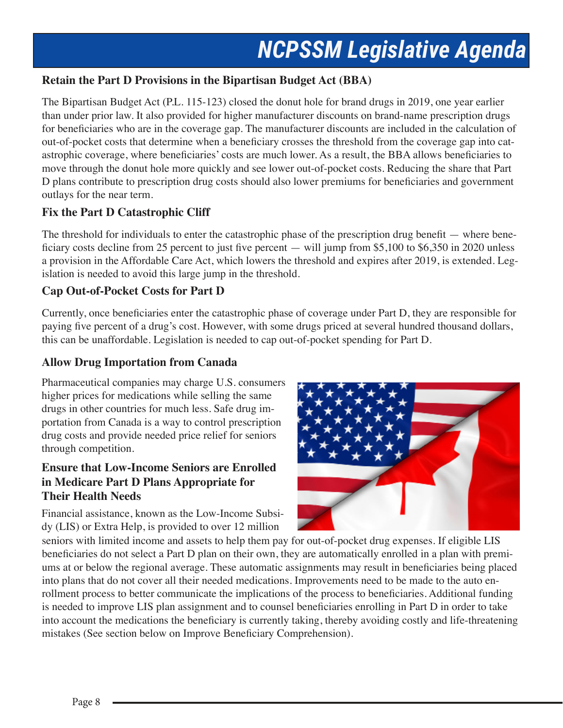#### **Retain the Part D Provisions in the Bipartisan Budget Act (BBA)**

The Bipartisan Budget Act (P.L. 115-123) closed the donut hole for brand drugs in 2019, one year earlier than under prior law. It also provided for higher manufacturer discounts on brand-name prescription drugs for beneficiaries who are in the coverage gap. The manufacturer discounts are included in the calculation of out-of-pocket costs that determine when a beneficiary crosses the threshold from the coverage gap into catastrophic coverage, where beneficiaries' costs are much lower. As a result, the BBA allows beneficiaries to move through the donut hole more quickly and see lower out-of-pocket costs. Reducing the share that Part D plans contribute to prescription drug costs should also lower premiums for beneficiaries and government outlays for the near term.

#### **Fix the Part D Catastrophic Cliff**

The threshold for individuals to enter the catastrophic phase of the prescription drug benefit — where beneficiary costs decline from 25 percent to just five percent — will jump from \$5,100 to \$6,350 in 2020 unless a provision in the Affordable Care Act, which lowers the threshold and expires after 2019, is extended. Legislation is needed to avoid this large jump in the threshold.

#### **Cap Out-of-Pocket Costs for Part D**

Currently, once beneficiaries enter the catastrophic phase of coverage under Part D, they are responsible for paying five percent of a drug's cost. However, with some drugs priced at several hundred thousand dollars, this can be unaffordable. Legislation is needed to cap out-of-pocket spending for Part D.

#### **Allow Drug Importation from Canada**

Pharmaceutical companies may charge U.S. consumers higher prices for medications while selling the same drugs in other countries for much less. Safe drug importation from Canada is a way to control prescription drug costs and provide needed price relief for seniors through competition.

#### **Ensure that Low-Income Seniors are Enrolled in Medicare Part D Plans Appropriate for Their Health Needs**

Financial assistance, known as the Low-Income Subsidy (LIS) or Extra Help, is provided to over 12 million



seniors with limited income and assets to help them pay for out-of-pocket drug expenses. If eligible LIS beneficiaries do not select a Part D plan on their own, they are automatically enrolled in a plan with premiums at or below the regional average. These automatic assignments may result in beneficiaries being placed into plans that do not cover all their needed medications. Improvements need to be made to the auto enrollment process to better communicate the implications of the process to beneficiaries. Additional funding is needed to improve LIS plan assignment and to counsel beneficiaries enrolling in Part D in order to take into account the medications the beneficiary is currently taking, thereby avoiding costly and life-threatening mistakes (See section below on Improve Beneficiary Comprehension).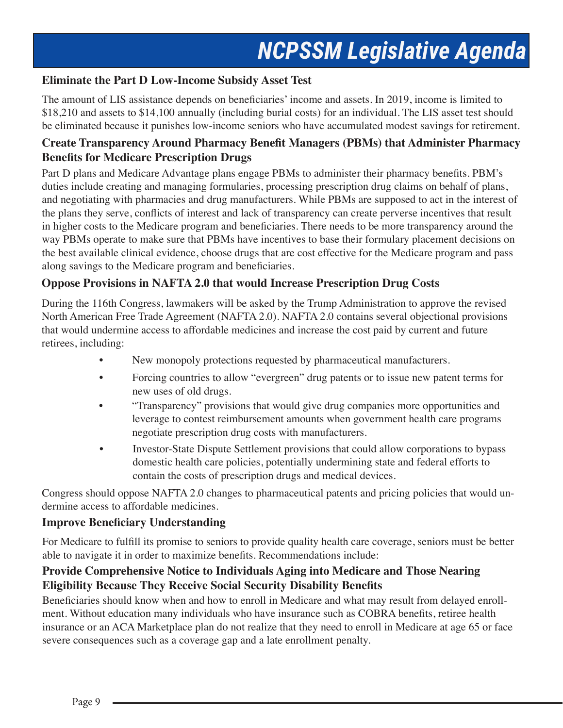#### **Eliminate the Part D Low-Income Subsidy Asset Test**

The amount of LIS assistance depends on beneficiaries' income and assets. In 2019, income is limited to \$18,210 and assets to \$14,100 annually (including burial costs) for an individual. The LIS asset test should be eliminated because it punishes low-income seniors who have accumulated modest savings for retirement.

#### **Create Transparency Around Pharmacy Benefit Managers (PBMs) that Administer Pharmacy Benefits for Medicare Prescription Drugs**

Part D plans and Medicare Advantage plans engage PBMs to administer their pharmacy benefits. PBM's duties include creating and managing formularies, processing prescription drug claims on behalf of plans, and negotiating with pharmacies and drug manufacturers. While PBMs are supposed to act in the interest of the plans they serve, conflicts of interest and lack of transparency can create perverse incentives that result in higher costs to the Medicare program and beneficiaries. There needs to be more transparency around the way PBMs operate to make sure that PBMs have incentives to base their formulary placement decisions on the best available clinical evidence, choose drugs that are cost effective for the Medicare program and pass along savings to the Medicare program and beneficiaries.

#### **Oppose Provisions in NAFTA 2.0 that would Increase Prescription Drug Costs**

During the 116th Congress, lawmakers will be asked by the Trump Administration to approve the revised North American Free Trade Agreement (NAFTA 2.0). NAFTA 2.0 contains several objectional provisions that would undermine access to affordable medicines and increase the cost paid by current and future retirees, including:

- New monopoly protections requested by pharmaceutical manufacturers.
- Forcing countries to allow "evergreen" drug patents or to issue new patent terms for new uses of old drugs.
- "Transparency" provisions that would give drug companies more opportunities and leverage to contest reimbursement amounts when government health care programs negotiate prescription drug costs with manufacturers.
- Investor-State Dispute Settlement provisions that could allow corporations to bypass domestic health care policies, potentially undermining state and federal efforts to contain the costs of prescription drugs and medical devices.

Congress should oppose NAFTA 2.0 changes to pharmaceutical patents and pricing policies that would undermine access to affordable medicines.

#### **Improve Beneficiary Understanding**

For Medicare to fulfill its promise to seniors to provide quality health care coverage, seniors must be better able to navigate it in order to maximize benefits. Recommendations include:

#### **Provide Comprehensive Notice to Individuals Aging into Medicare and Those Nearing Eligibility Because They Receive Social Security Disability Benefits**

Beneficiaries should know when and how to enroll in Medicare and what may result from delayed enrollment. Without education many individuals who have insurance such as COBRA benefits, retiree health insurance or an ACA Marketplace plan do not realize that they need to enroll in Medicare at age 65 or face severe consequences such as a coverage gap and a late enrollment penalty.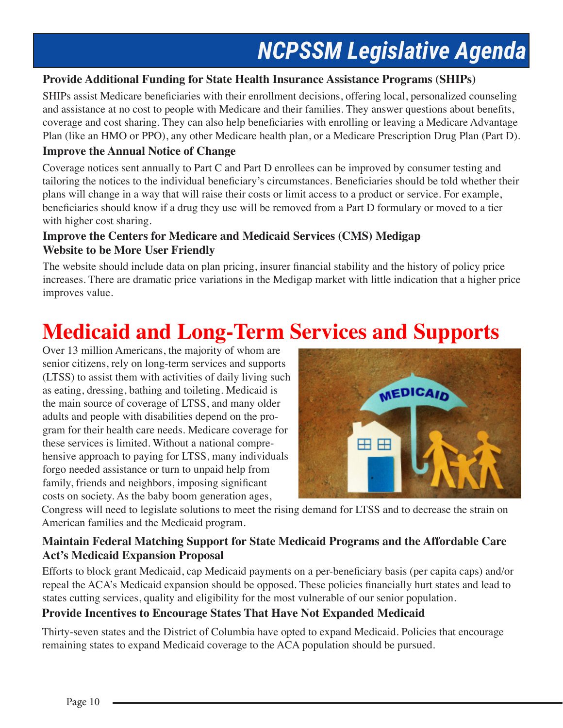#### **Provide Additional Funding for State Health Insurance Assistance Programs (SHIPs)**

SHIPs assist Medicare beneficiaries with their enrollment decisions, offering local, personalized counseling and assistance at no cost to people with Medicare and their families. They answer questions about benefits, coverage and cost sharing. They can also help beneficiaries with enrolling or leaving a Medicare Advantage Plan (like an HMO or PPO), any other Medicare health plan, or a Medicare Prescription Drug Plan (Part D).

#### **Improve the Annual Notice of Change**

Coverage notices sent annually to Part C and Part D enrollees can be improved by consumer testing and tailoring the notices to the individual beneficiary's circumstances. Beneficiaries should be told whether their plans will change in a way that will raise their costs or limit access to a product or service. For example, beneficiaries should know if a drug they use will be removed from a Part D formulary or moved to a tier with higher cost sharing.

#### **Improve the Centers for Medicare and Medicaid Services (CMS) Medigap Website to be More User Friendly**

The website should include data on plan pricing, insurer financial stability and the history of policy price increases. There are dramatic price variations in the Medigap market with little indication that a higher price improves value.

### **Medicaid and Long-Term Services and Supports**

Over 13 million Americans, the majority of whom are senior citizens, rely on long-term services and supports (LTSS) to assist them with activities of daily living such as eating, dressing, bathing and toileting. Medicaid is the main source of coverage of LTSS, and many older adults and people with disabilities depend on the program for their health care needs. Medicare coverage for these services is limited. Without a national comprehensive approach to paying for LTSS, many individuals forgo needed assistance or turn to unpaid help from family, friends and neighbors, imposing significant costs on society. As the baby boom generation ages,



Congress will need to legislate solutions to meet the rising demand for LTSS and to decrease the strain on American families and the Medicaid program.

#### **Maintain Federal Matching Support for State Medicaid Programs and the Affordable Care Act's Medicaid Expansion Proposal**

Efforts to block grant Medicaid, cap Medicaid payments on a per-beneficiary basis (per capita caps) and/or repeal the ACA's Medicaid expansion should be opposed. These policies financially hurt states and lead to states cutting services, quality and eligibility for the most vulnerable of our senior population.

#### **Provide Incentives to Encourage States That Have Not Expanded Medicaid**

Thirty-seven states and the District of Columbia have opted to expand Medicaid. Policies that encourage remaining states to expand Medicaid coverage to the ACA population should be pursued.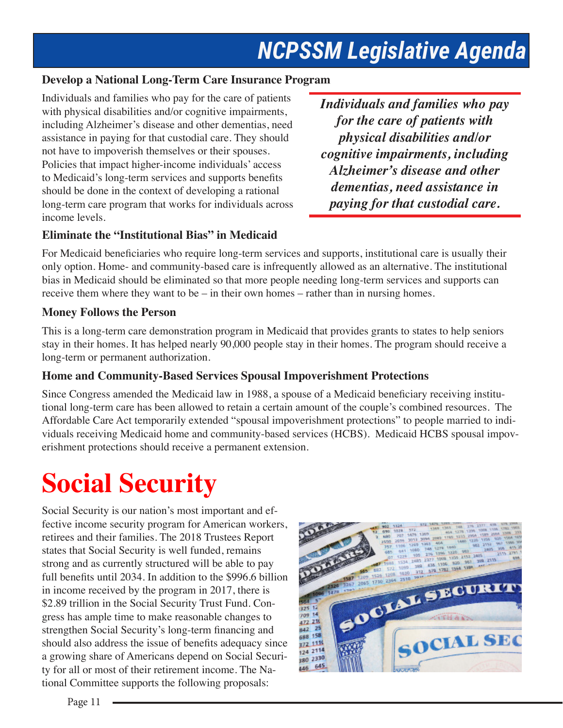#### **Develop a National Long-Term Care Insurance Program**

Individuals and families who pay for the care of patients with physical disabilities and/or cognitive impairments, including Alzheimer's disease and other dementias, need assistance in paying for that custodial care. They should not have to impoverish themselves or their spouses. Policies that impact higher-income individuals' access to Medicaid's long-term services and supports benefits should be done in the context of developing a rational long-term care program that works for individuals across income levels.

*Individuals and families who pay for the care of patients with physical disabilities and/or cognitive impairments, including Alzheimer's disease and other dementias, need assistance in paying for that custodial care.*

#### **Eliminate the "Institutional Bias" in Medicaid**

For Medicaid beneficiaries who require long-term services and supports, institutional care is usually their only option. Home- and community-based care is infrequently allowed as an alternative. The institutional bias in Medicaid should be eliminated so that more people needing long-term services and supports can receive them where they want to be – in their own homes – rather than in nursing homes.

#### **Money Follows the Person**

This is a long-term care demonstration program in Medicaid that provides grants to states to help seniors stay in their homes. It has helped nearly 90,000 people stay in their homes. The program should receive a long-term or permanent authorization.

#### **Home and Community-Based Services Spousal Impoverishment Protections**

Since Congress amended the Medicaid law in 1988, a spouse of a Medicaid beneficiary receiving institutional long-term care has been allowed to retain a certain amount of the couple's combined resources. The Affordable Care Act temporarily extended "spousal impoverishment protections" to people married to individuals receiving Medicaid home and community-based services (HCBS). Medicaid HCBS spousal impoverishment protections should receive a permanent extension.

# **Social Security**

Social Security is our nation's most important and effective income security program for American workers, retirees and their families. The 2018 Trustees Report states that Social Security is well funded, remains strong and as currently structured will be able to pay full benefits until 2034. In addition to the \$996.6 billion in income received by the program in 2017, there is \$2.89 trillion in the Social Security Trust Fund. Congress has ample time to make reasonable changes to strengthen Social Security's long-term financing and should also address the issue of benefits adequacy since a growing share of Americans depend on Social Security for all or most of their retirement income. The National Committee supports the following proposals:

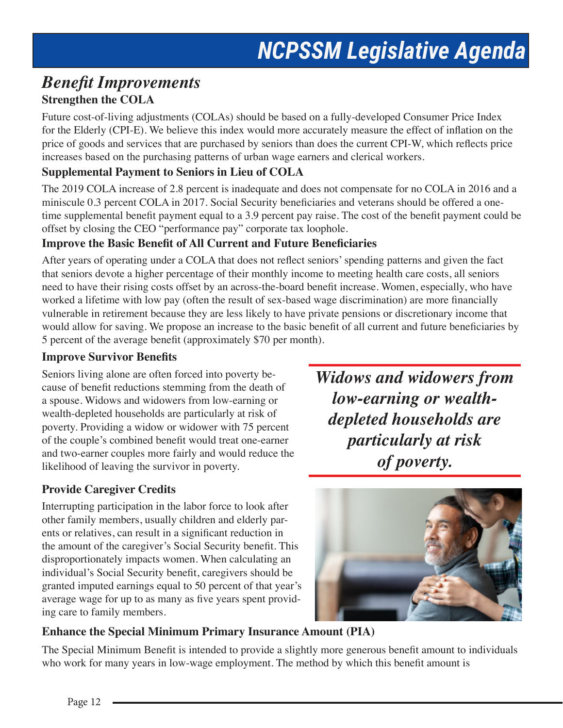### *Benefit Improvements* **Strengthen the COLA**

Future cost-of-living adjustments (COLAs) should be based on a fully-developed Consumer Price Index for the Elderly (CPI-E). We believe this index would more accurately measure the effect of inflation on the price of goods and services that are purchased by seniors than does the current CPI-W, which reflects price increases based on the purchasing patterns of urban wage earners and clerical workers.

#### **Supplemental Payment to Seniors in Lieu of COLA**

The 2019 COLA increase of 2.8 percent is inadequate and does not compensate for no COLA in 2016 and a miniscule 0.3 percent COLA in 2017. Social Security beneficiaries and veterans should be offered a onetime supplemental benefit payment equal to a 3.9 percent pay raise. The cost of the benefit payment could be offset by closing the CEO "performance pay" corporate tax loophole.

#### **Improve the Basic Benefit of All Current and Future Beneficiaries**

After years of operating under a COLA that does not reflect seniors' spending patterns and given the fact that seniors devote a higher percentage of their monthly income to meeting health care costs, all seniors need to have their rising costs offset by an across-the-board benefit increase. Women, especially, who have worked a lifetime with low pay (often the result of sex-based wage discrimination) are more financially vulnerable in retirement because they are less likely to have private pensions or discretionary income that would allow for saving. We propose an increase to the basic benefit of all current and future beneficiaries by 5 percent of the average benefit (approximately \$70 per month).

#### **Improve Survivor Benefits**

Seniors living alone are often forced into poverty because of benefit reductions stemming from the death of a spouse. Widows and widowers from low-earning or wealth-depleted households are particularly at risk of poverty. Providing a widow or widower with 75 percent of the couple's combined benefit would treat one-earner and two-earner couples more fairly and would reduce the likelihood of leaving the survivor in poverty.

#### **Provide Caregiver Credits**

Interrupting participation in the labor force to look after other family members, usually children and elderly parents or relatives, can result in a significant reduction in the amount of the caregiver's Social Security benefit. This disproportionately impacts women. When calculating an individual's Social Security benefit, caregivers should be granted imputed earnings equal to 50 percent of that year's average wage for up to as many as five years spent providing care to family members.

*Widows and widowers from low-earning or wealthdepleted households are particularly at risk of poverty.*



#### **Enhance the Special Minimum Primary Insurance Amount (PIA)**

The Special Minimum Benefit is intended to provide a slightly more generous benefit amount to individuals who work for many years in low-wage employment. The method by which this benefit amount is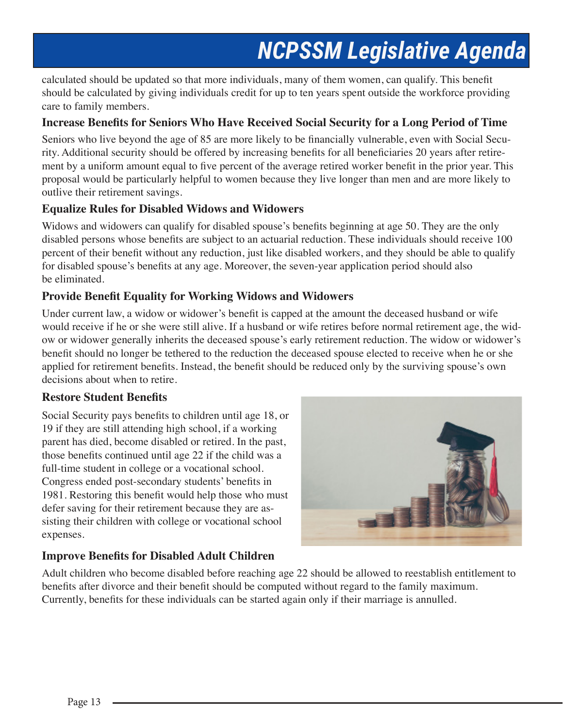calculated should be updated so that more individuals, many of them women, can qualify. This benefit should be calculated by giving individuals credit for up to ten years spent outside the workforce providing care to family members.

#### **Increase Benefits for Seniors Who Have Received Social Security for a Long Period of Time**

Seniors who live beyond the age of 85 are more likely to be financially vulnerable, even with Social Security. Additional security should be offered by increasing benefits for all beneficiaries 20 years after retirement by a uniform amount equal to five percent of the average retired worker benefit in the prior year. This proposal would be particularly helpful to women because they live longer than men and are more likely to outlive their retirement savings.

#### **Equalize Rules for Disabled Widows and Widowers**

Widows and widowers can qualify for disabled spouse's benefits beginning at age 50. They are the only disabled persons whose benefits are subject to an actuarial reduction. These individuals should receive 100 percent of their benefit without any reduction, just like disabled workers, and they should be able to qualify for disabled spouse's benefits at any age. Moreover, the seven-year application period should also be eliminated.

#### **Provide Benefit Equality for Working Widows and Widowers**

Under current law, a widow or widower's benefit is capped at the amount the deceased husband or wife would receive if he or she were still alive. If a husband or wife retires before normal retirement age, the widow or widower generally inherits the deceased spouse's early retirement reduction. The widow or widower's benefit should no longer be tethered to the reduction the deceased spouse elected to receive when he or she applied for retirement benefits. Instead, the benefit should be reduced only by the surviving spouse's own decisions about when to retire.

#### **Restore Student Benefits**

Social Security pays benefits to children until age 18, or 19 if they are still attending high school, if a working parent has died, become disabled or retired. In the past, those benefits continued until age 22 if the child was a full-time student in college or a vocational school. Congress ended post-secondary students' benefits in 1981. Restoring this benefit would help those who must defer saving for their retirement because they are assisting their children with college or vocational school expenses.



#### **Improve Benefits for Disabled Adult Children**

Adult children who become disabled before reaching age 22 should be allowed to reestablish entitlement to benefits after divorce and their benefit should be computed without regard to the family maximum. Currently, benefits for these individuals can be started again only if their marriage is annulled.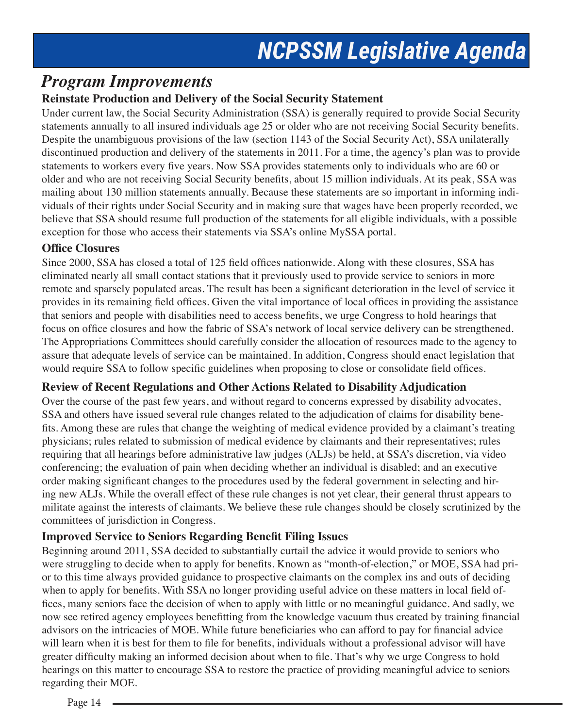### *Program Improvements*

#### **Reinstate Production and Delivery of the Social Security Statement**

Under current law, the Social Security Administration (SSA) is generally required to provide Social Security statements annually to all insured individuals age 25 or older who are not receiving Social Security benefits. Despite the unambiguous provisions of the law (section 1143 of the Social Security Act), SSA unilaterally discontinued production and delivery of the statements in 2011. For a time, the agency's plan was to provide statements to workers every five years. Now SSA provides statements only to individuals who are 60 or older and who are not receiving Social Security benefits, about 15 million individuals. At its peak, SSA was mailing about 130 million statements annually. Because these statements are so important in informing individuals of their rights under Social Security and in making sure that wages have been properly recorded, we believe that SSA should resume full production of the statements for all eligible individuals, with a possible exception for those who access their statements via SSA's online MySSA portal.

#### **Office Closures**

Since 2000, SSA has closed a total of 125 field offices nationwide. Along with these closures, SSA has eliminated nearly all small contact stations that it previously used to provide service to seniors in more remote and sparsely populated areas. The result has been a significant deterioration in the level of service it provides in its remaining field offices. Given the vital importance of local offices in providing the assistance that seniors and people with disabilities need to access benefits, we urge Congress to hold hearings that focus on office closures and how the fabric of SSA's network of local service delivery can be strengthened. The Appropriations Committees should carefully consider the allocation of resources made to the agency to assure that adequate levels of service can be maintained. In addition, Congress should enact legislation that would require SSA to follow specific guidelines when proposing to close or consolidate field offices.

#### **Review of Recent Regulations and Other Actions Related to Disability Adjudication**

Over the course of the past few years, and without regard to concerns expressed by disability advocates, SSA and others have issued several rule changes related to the adjudication of claims for disability benefits. Among these are rules that change the weighting of medical evidence provided by a claimant's treating physicians; rules related to submission of medical evidence by claimants and their representatives; rules requiring that all hearings before administrative law judges (ALJs) be held, at SSA's discretion, via video conferencing; the evaluation of pain when deciding whether an individual is disabled; and an executive order making significant changes to the procedures used by the federal government in selecting and hiring new ALJs. While the overall effect of these rule changes is not yet clear, their general thrust appears to militate against the interests of claimants. We believe these rule changes should be closely scrutinized by the committees of jurisdiction in Congress.

#### **Improved Service to Seniors Regarding Benefit Filing Issues**

Beginning around 2011, SSA decided to substantially curtail the advice it would provide to seniors who were struggling to decide when to apply for benefits. Known as "month-of-election," or MOE, SSA had prior to this time always provided guidance to prospective claimants on the complex ins and outs of deciding when to apply for benefits. With SSA no longer providing useful advice on these matters in local field offices, many seniors face the decision of when to apply with little or no meaningful guidance. And sadly, we now see retired agency employees benefitting from the knowledge vacuum thus created by training financial advisors on the intricacies of MOE. While future beneficiaries who can afford to pay for financial advice will learn when it is best for them to file for benefits, individuals without a professional advisor will have greater difficulty making an informed decision about when to file. That's why we urge Congress to hold hearings on this matter to encourage SSA to restore the practice of providing meaningful advice to seniors regarding their MOE.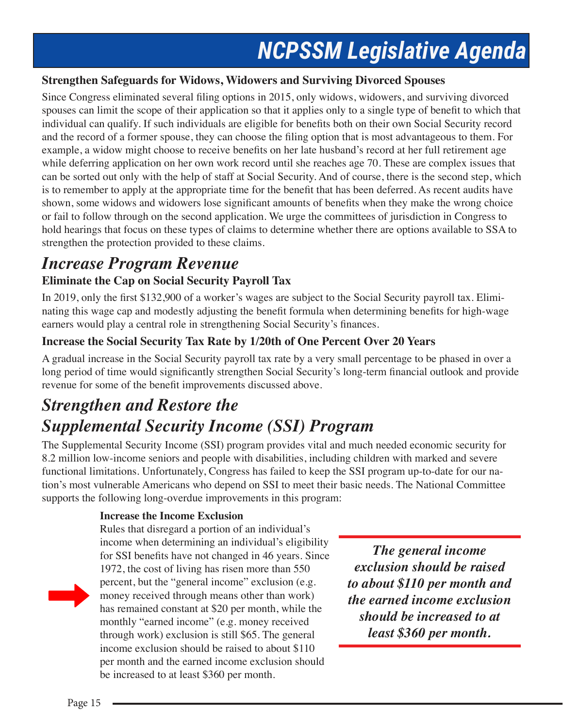#### **Strengthen Safeguards for Widows, Widowers and Surviving Divorced Spouses**

Since Congress eliminated several filing options in 2015, only widows, widowers, and surviving divorced spouses can limit the scope of their application so that it applies only to a single type of benefit to which that individual can qualify. If such individuals are eligible for benefits both on their own Social Security record and the record of a former spouse, they can choose the filing option that is most advantageous to them. For example, a widow might choose to receive benefits on her late husband's record at her full retirement age while deferring application on her own work record until she reaches age 70. These are complex issues that can be sorted out only with the help of staff at Social Security. And of course, there is the second step, which is to remember to apply at the appropriate time for the benefit that has been deferred. As recent audits have shown, some widows and widowers lose significant amounts of benefits when they make the wrong choice or fail to follow through on the second application. We urge the committees of jurisdiction in Congress to hold hearings that focus on these types of claims to determine whether there are options available to SSA to strengthen the protection provided to these claims.

### *Increase Program Revenue*

#### **Eliminate the Cap on Social Security Payroll Tax**

In 2019, only the first \$132,900 of a worker's wages are subject to the Social Security payroll tax. Eliminating this wage cap and modestly adjusting the benefit formula when determining benefits for high-wage earners would play a central role in strengthening Social Security's finances.

#### **Increase the Social Security Tax Rate by 1/20th of One Percent Over 20 Years**

A gradual increase in the Social Security payroll tax rate by a very small percentage to be phased in over a long period of time would significantly strengthen Social Security's long-term financial outlook and provide revenue for some of the benefit improvements discussed above.

### *Strengthen and Restore the Supplemental Security Income (SSI) Program*

The Supplemental Security Income (SSI) program provides vital and much needed economic security for 8.2 million low-income seniors and people with disabilities, including children with marked and severe functional limitations. Unfortunately, Congress has failed to keep the SSI program up-to-date for our nation's most vulnerable Americans who depend on SSI to meet their basic needs. The National Committee supports the following long-overdue improvements in this program:

#### **Increase the Income Exclusion**

Rules that disregard a portion of an individual's income when determining an individual's eligibility for SSI benefits have not changed in 46 years. Since 1972, the cost of living has risen more than 550 percent, but the "general income" exclusion (e.g. money received through means other than work) has remained constant at \$20 per month, while the monthly "earned income" (e.g. money received through work) exclusion is still \$65. The general income exclusion should be raised to about \$110 per month and the earned income exclusion should be increased to at least \$360 per month.

*The general income exclusion should be raised to about \$110 per month and the earned income exclusion should be increased to at least \$360 per month.*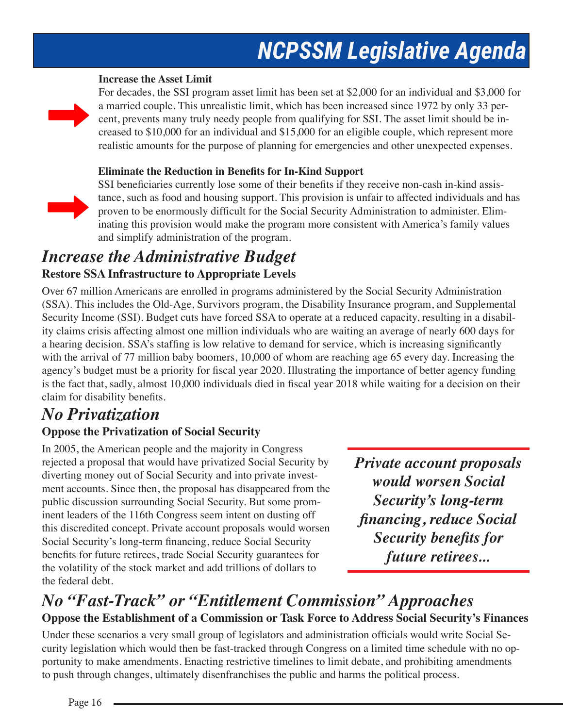#### **Increase the Asset Limit**

For decades, the SSI program asset limit has been set at \$2,000 for an individual and \$3,000 for a married couple. This unrealistic limit, which has been increased since 1972 by only 33 percent, prevents many truly needy people from qualifying for SSI. The asset limit should be increased to \$10,000 for an individual and \$15,000 for an eligible couple, which represent more realistic amounts for the purpose of planning for emergencies and other unexpected expenses.

#### **Eliminate the Reduction in Benefits for In-Kind Support**



SSI beneficiaries currently lose some of their benefits if they receive non-cash in-kind assistance, such as food and housing support. This provision is unfair to affected individuals and has proven to be enormously difficult for the Social Security Administration to administer. Eliminating this provision would make the program more consistent with America's family values and simplify administration of the program.

#### *Increase the Administrative Budget*  **Restore SSA Infrastructure to Appropriate Levels**

Over 67 million Americans are enrolled in programs administered by the Social Security Administration (SSA). This includes the Old-Age, Survivors program, the Disability Insurance program, and Supplemental Security Income (SSI). Budget cuts have forced SSA to operate at a reduced capacity, resulting in a disability claims crisis affecting almost one million individuals who are waiting an average of nearly 600 days for a hearing decision. SSA's staffing is low relative to demand for service, which is increasing significantly with the arrival of 77 million baby boomers, 10,000 of whom are reaching age 65 every day. Increasing the agency's budget must be a priority for fiscal year 2020. Illustrating the importance of better agency funding is the fact that, sadly, almost 10,000 individuals died in fiscal year 2018 while waiting for a decision on their claim for disability benefits.

### *No Privatization*

#### **Oppose the Privatization of Social Security**

In 2005, the American people and the majority in Congress rejected a proposal that would have privatized Social Security by diverting money out of Social Security and into private investment accounts. Since then, the proposal has disappeared from the public discussion surrounding Social Security. But some prominent leaders of the 116th Congress seem intent on dusting off this discredited concept. Private account proposals would worsen Social Security's long-term financing, reduce Social Security benefits for future retirees, trade Social Security guarantees for the volatility of the stock market and add trillions of dollars to the federal debt.

*Private account proposals would worsen Social Security's long-term financing, reduce Social Security benefits for future retirees...*

### *No "Fast-Track" or "Entitlement Commission" Approaches* **Oppose the Establishment of a Commission or Task Force to Address Social Security's Finances**

Under these scenarios a very small group of legislators and administration officials would write Social Security legislation which would then be fast-tracked through Congress on a limited time schedule with no opportunity to make amendments. Enacting restrictive timelines to limit debate, and prohibiting amendments to push through changes, ultimately disenfranchises the public and harms the political process.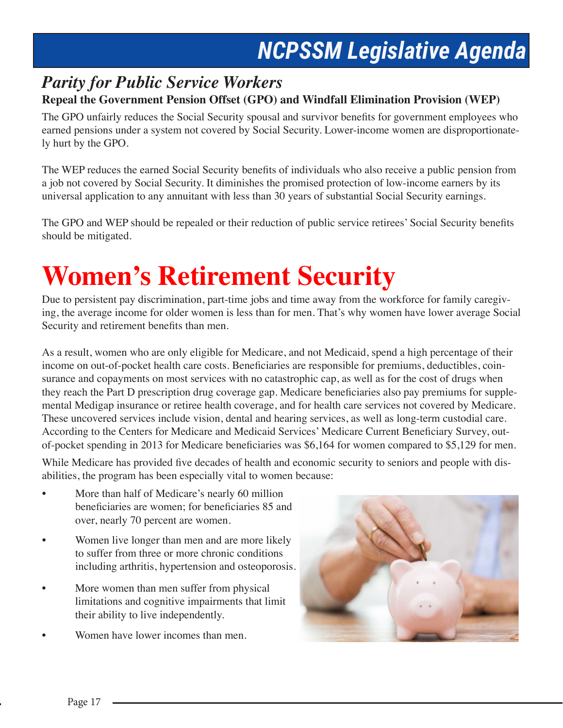### *Parity for Public Service Workers*  **Repeal the Government Pension Offset (GPO) and Windfall Elimination Provision (WEP)**

The GPO unfairly reduces the Social Security spousal and survivor benefits for government employees who earned pensions under a system not covered by Social Security. Lower-income women are disproportionately hurt by the GPO.

The WEP reduces the earned Social Security benefits of individuals who also receive a public pension from a job not covered by Social Security. It diminishes the promised protection of low-income earners by its universal application to any annuitant with less than 30 years of substantial Social Security earnings.

The GPO and WEP should be repealed or their reduction of public service retirees' Social Security benefits should be mitigated.

# **Women's Retirement Security**

Due to persistent pay discrimination, part-time jobs and time away from the workforce for family caregiving, the average income for older women is less than for men. That's why women have lower average Social Security and retirement benefits than men.

As a result, women who are only eligible for Medicare, and not Medicaid, spend a high percentage of their income on out-of-pocket health care costs. Beneficiaries are responsible for premiums, deductibles, coinsurance and copayments on most services with no catastrophic cap, as well as for the cost of drugs when they reach the Part D prescription drug coverage gap. Medicare beneficiaries also pay premiums for supplemental Medigap insurance or retiree health coverage, and for health care services not covered by Medicare. These uncovered services include vision, dental and hearing services, as well as long-term custodial care. According to the Centers for Medicare and Medicaid Services' Medicare Current Beneficiary Survey, outof-pocket spending in 2013 for Medicare beneficiaries was \$6,164 for women compared to \$5,129 for men.

While Medicare has provided five decades of health and economic security to seniors and people with disabilities, the program has been especially vital to women because:

- More than half of Medicare's nearly 60 million beneficiaries are women; for beneficiaries 85 and over, nearly 70 percent are women.
- Women live longer than men and are more likely to suffer from three or more chronic conditions including arthritis, hypertension and osteoporosis.
- More women than men suffer from physical limitations and cognitive impairments that limit their ability to live independently.
- Women have lower incomes than men.

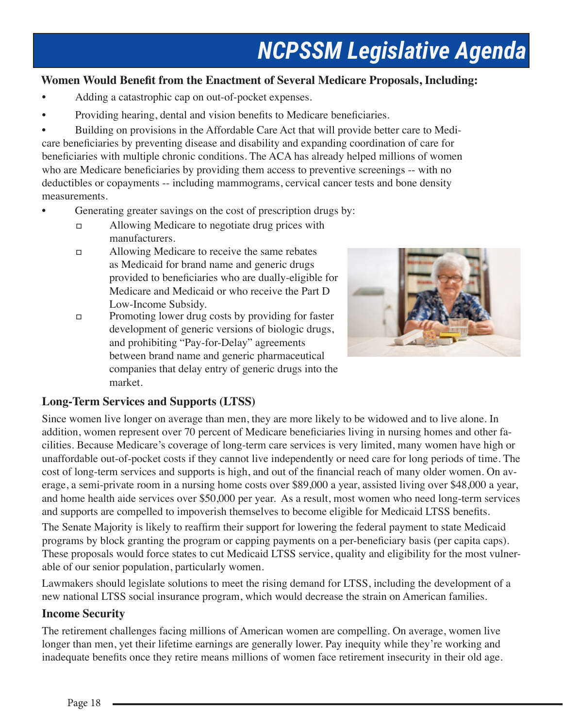#### **Women Would Benefit from the Enactment of Several Medicare Proposals, Including:**

- Adding a catastrophic cap on out-of-pocket expenses.
- Providing hearing, dental and vision benefits to Medicare beneficiaries.

• Building on provisions in the Affordable Care Act that will provide better care to Medicare beneficiaries by preventing disease and disability and expanding coordination of care for beneficiaries with multiple chronic conditions. The ACA has already helped millions of women who are Medicare beneficiaries by providing them access to preventive screenings -- with no deductibles or copayments -- including mammograms, cervical cancer tests and bone density measurements.

- Generating greater savings on the cost of prescription drugs by:
	- Allowing Medicare to negotiate drug prices with manufacturers.
	- Allowing Medicare to receive the same rebates as Medicaid for brand name and generic drugs provided to beneficiaries who are dually-eligible for Medicare and Medicaid or who receive the Part D Low-Income Subsidy.
	- **Promoting lower drug costs by providing for faster**  development of generic versions of biologic drugs, and prohibiting "Pay-for-Delay" agreements between brand name and generic pharmaceutical companies that delay entry of generic drugs into the market.



#### **Long-Term Services and Supports (LTSS)**

Since women live longer on average than men, they are more likely to be widowed and to live alone. In addition, women represent over 70 percent of Medicare beneficiaries living in nursing homes and other facilities. Because Medicare's coverage of long-term care services is very limited, many women have high or unaffordable out-of-pocket costs if they cannot live independently or need care for long periods of time. The cost of long-term services and supports is high, and out of the financial reach of many older women. On average, a semi-private room in a nursing home costs over \$89,000 a year, assisted living over \$48,000 a year, and home health aide services over \$50,000 per year. As a result, most women who need long-term services and supports are compelled to impoverish themselves to become eligible for Medicaid LTSS benefits.

The Senate Majority is likely to reaffirm their support for lowering the federal payment to state Medicaid programs by block granting the program or capping payments on a per-beneficiary basis (per capita caps). These proposals would force states to cut Medicaid LTSS service, quality and eligibility for the most vulnerable of our senior population, particularly women.

Lawmakers should legislate solutions to meet the rising demand for LTSS, including the development of a new national LTSS social insurance program, which would decrease the strain on American families.

#### **Income Security**

The retirement challenges facing millions of American women are compelling. On average, women live longer than men, yet their lifetime earnings are generally lower. Pay inequity while they're working and inadequate benefits once they retire means millions of women face retirement insecurity in their old age.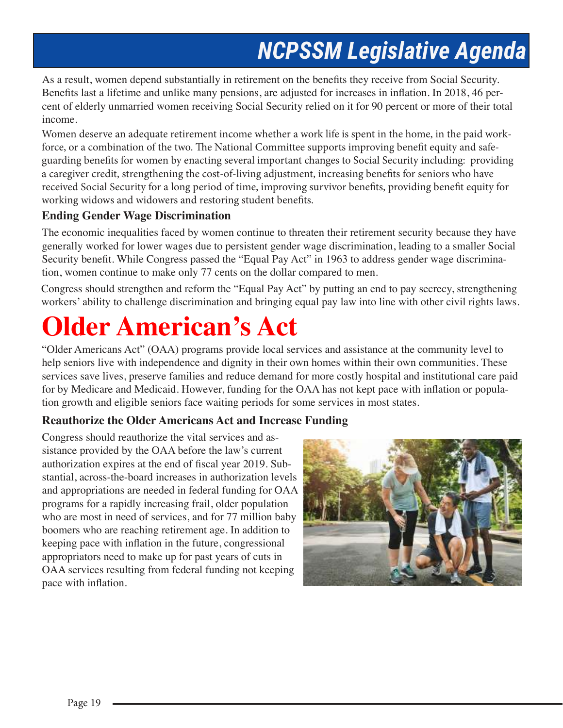As a result, women depend substantially in retirement on the benefits they receive from Social Security. Benefits last a lifetime and unlike many pensions, are adjusted for increases in inflation. In 2018, 46 percent of elderly unmarried women receiving Social Security relied on it for 90 percent or more of their total income.

Women deserve an adequate retirement income whether a work life is spent in the home, in the paid workforce, or a combination of the two. The National Committee supports improving benefit equity and safeguarding benefits for women by enacting several important changes to Social Security including: providing a caregiver credit, strengthening the cost-of-living adjustment, increasing benefits for seniors who have received Social Security for a long period of time, improving survivor benefits, providing benefit equity for working widows and widowers and restoring student benefits.

#### **Ending Gender Wage Discrimination**

The economic inequalities faced by women continue to threaten their retirement security because they have generally worked for lower wages due to persistent gender wage discrimination, leading to a smaller Social Security benefit. While Congress passed the "Equal Pay Act" in 1963 to address gender wage discrimination, women continue to make only 77 cents on the dollar compared to men.

Congress should strengthen and reform the "Equal Pay Act" by putting an end to pay secrecy, strengthening workers' ability to challenge discrimination and bringing equal pay law into line with other civil rights laws.

# **Older American's Act**

"Older Americans Act" (OAA) programs provide local services and assistance at the community level to help seniors live with independence and dignity in their own homes within their own communities. These services save lives, preserve families and reduce demand for more costly hospital and institutional care paid for by Medicare and Medicaid. However, funding for the OAA has not kept pace with inflation or population growth and eligible seniors face waiting periods for some services in most states.

#### **Reauthorize the Older Americans Act and Increase Funding**

Congress should reauthorize the vital services and assistance provided by the OAA before the law's current authorization expires at the end of fiscal year 2019. Substantial, across-the-board increases in authorization levels and appropriations are needed in federal funding for OAA programs for a rapidly increasing frail, older population who are most in need of services, and for 77 million baby boomers who are reaching retirement age. In addition to keeping pace with inflation in the future, congressional appropriators need to make up for past years of cuts in OAA services resulting from federal funding not keeping pace with inflation.

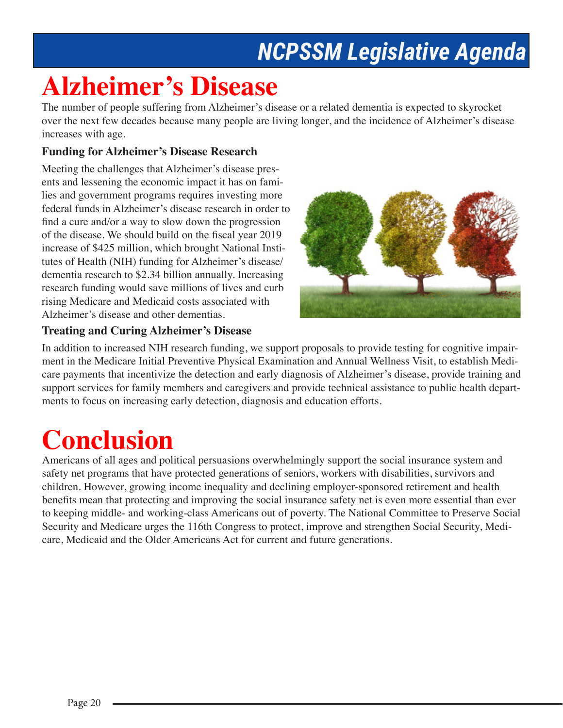## **Alzheimer's Disease**

The number of people suffering from Alzheimer's disease or a related dementia is expected to skyrocket over the next few decades because many people are living longer, and the incidence of Alzheimer's disease increases with age.

#### **Funding for Alzheimer's Disease Research**

Meeting the challenges that Alzheimer's disease presents and lessening the economic impact it has on families and government programs requires investing more federal funds in Alzheimer's disease research in order to find a cure and/or a way to slow down the progression of the disease. We should build on the fiscal year 2019 increase of \$425 million, which brought National Institutes of Health (NIH) funding for Alzheimer's disease/ dementia research to \$2.34 billion annually. Increasing research funding would save millions of lives and curb rising Medicare and Medicaid costs associated with Alzheimer's disease and other dementias.



#### **Treating and Curing Alzheimer's Disease**

In addition to increased NIH research funding, we support proposals to provide testing for cognitive impairment in the Medicare Initial Preventive Physical Examination and Annual Wellness Visit, to establish Medicare payments that incentivize the detection and early diagnosis of Alzheimer's disease, provide training and support services for family members and caregivers and provide technical assistance to public health departments to focus on increasing early detection, diagnosis and education efforts.

# **Conclusion**

Americans of all ages and political persuasions overwhelmingly support the social insurance system and safety net programs that have protected generations of seniors, workers with disabilities, survivors and children. However, growing income inequality and declining employer-sponsored retirement and health benefits mean that protecting and improving the social insurance safety net is even more essential than ever to keeping middle- and working-class Americans out of poverty. The National Committee to Preserve Social Security and Medicare urges the 116th Congress to protect, improve and strengthen Social Security, Medicare, Medicaid and the Older Americans Act for current and future generations.